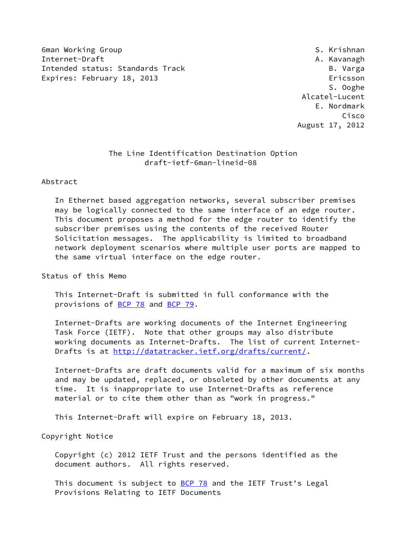6man Working Group States of the Second States of the Second States of S. Krishnan Internet-Draft A. Kavanagh Intended status: Standards Track B. Varga Expires: February 18, 2013 Ericsson

 S. Ooghe Alcatel-Lucent E. Nordmark Cisco August 17, 2012

# The Line Identification Destination Option draft-ietf-6man-lineid-08

Abstract

 In Ethernet based aggregation networks, several subscriber premises may be logically connected to the same interface of an edge router. This document proposes a method for the edge router to identify the subscriber premises using the contents of the received Router Solicitation messages. The applicability is limited to broadband network deployment scenarios where multiple user ports are mapped to the same virtual interface on the edge router.

Status of this Memo

 This Internet-Draft is submitted in full conformance with the provisions of [BCP 78](https://datatracker.ietf.org/doc/pdf/bcp78) and [BCP 79](https://datatracker.ietf.org/doc/pdf/bcp79).

 Internet-Drafts are working documents of the Internet Engineering Task Force (IETF). Note that other groups may also distribute working documents as Internet-Drafts. The list of current Internet Drafts is at<http://datatracker.ietf.org/drafts/current/>.

 Internet-Drafts are draft documents valid for a maximum of six months and may be updated, replaced, or obsoleted by other documents at any time. It is inappropriate to use Internet-Drafts as reference material or to cite them other than as "work in progress."

This Internet-Draft will expire on February 18, 2013.

Copyright Notice

 Copyright (c) 2012 IETF Trust and the persons identified as the document authors. All rights reserved.

This document is subject to **[BCP 78](https://datatracker.ietf.org/doc/pdf/bcp78)** and the IETF Trust's Legal Provisions Relating to IETF Documents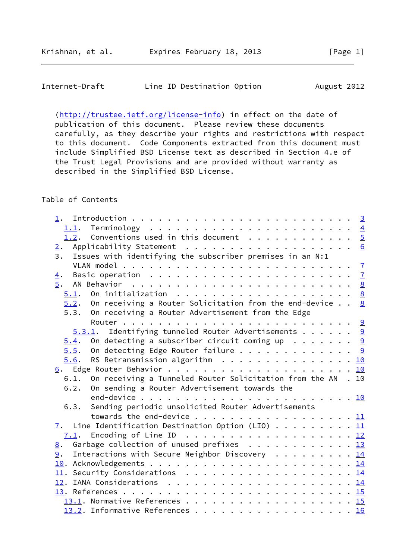| Internet-Draft | Line ID Destination Option | August 2012 |
|----------------|----------------------------|-------------|
|----------------|----------------------------|-------------|

[\(http://trustee.ietf.org/license-info](http://trustee.ietf.org/license-info)) in effect on the date of publication of this document. Please review these documents carefully, as they describe your rights and restrictions with respect to this document. Code Components extracted from this document must include Simplified BSD License text as described in Section 4.e of the Trust Legal Provisions and are provided without warranty as described in the Simplified BSD License.

# Table of Contents

| 1.                                                                                     |  |
|----------------------------------------------------------------------------------------|--|
|                                                                                        |  |
| 1.2. Conventions used in this document $\frac{5}{2}$                                   |  |
|                                                                                        |  |
| Issues with identifying the subscriber premises in an N:1<br>3.                        |  |
|                                                                                        |  |
| Basic operation $\ldots \ldots \ldots \ldots \ldots \ldots \ldots$<br>$\overline{4}$ . |  |
| 5.                                                                                     |  |
|                                                                                        |  |
| $5.2$ . On receiving a Router Solicitation from the end-device 8                       |  |
| 5.3. On receiving a Router Advertisement from the Edge                                 |  |
|                                                                                        |  |
| $5.3.1$ . Identifying tunneled Router Advertisements 9                                 |  |
| $\underline{5.4}$ . On detecting a subscriber circuit coming up 9                      |  |
| 5.5. On detecting Edge Router failure 9                                                |  |
| RS Retransmission algorithm $\ldots$ 10<br>5.6.                                        |  |
|                                                                                        |  |
| 6.1. On receiving a Tunneled Router Solicitation from the AN . 10                      |  |
| On sending a Router Advertisement towards the<br>6.2.                                  |  |
|                                                                                        |  |
| Sending periodic unsolicited Router Advertisements<br>6.3.                             |  |
| towards the end-device 11                                                              |  |
| $\underline{7}$ . Line Identification Destination Option (LIO) 11                      |  |
|                                                                                        |  |
| 8. Garbage collection of unused prefixes 13                                            |  |
| Interactions with Secure Neighbor Discovery 14<br>9.                                   |  |
|                                                                                        |  |
| 11. Security Considerations 14                                                         |  |
|                                                                                        |  |
|                                                                                        |  |
|                                                                                        |  |
|                                                                                        |  |
| $13.2$ . Informative References 16                                                     |  |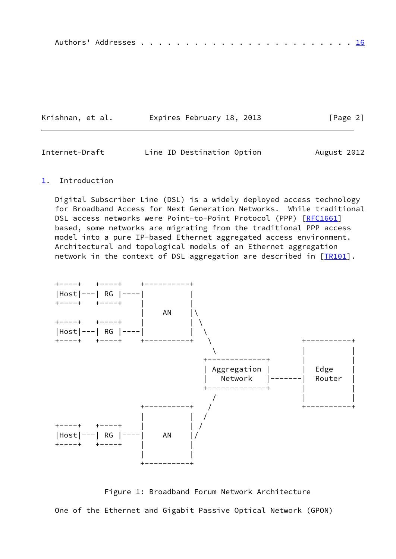|--|--|--|--|--|--|--|--|--|--|--|--|--|--|--|--|--|--|--|--|--|--|--|--|--|--|--|

| Krishnan, et al. | Expires February 18, 2013 | [Page 2] |
|------------------|---------------------------|----------|
|------------------|---------------------------|----------|

<span id="page-2-1"></span>

| Internet-Draft | Line ID Destination Option | August 2012 |
|----------------|----------------------------|-------------|
|                |                            |             |

#### <span id="page-2-0"></span>[1](#page-2-0). Introduction

 Digital Subscriber Line (DSL) is a widely deployed access technology for Broadband Access for Next Generation Networks. While traditional DSL access networks were Point-to-Point Protocol (PPP) [\[RFC1661](https://datatracker.ietf.org/doc/pdf/rfc1661)] based, some networks are migrating from the traditional PPP access model into a pure IP-based Ethernet aggregated access environment. Architectural and topological models of an Ethernet aggregation network in the context of DSL aggregation are described in  $[TR101]$  $[TR101]$ .



 Figure 1: Broadband Forum Network Architecture One of the Ethernet and Gigabit Passive Optical Network (GPON)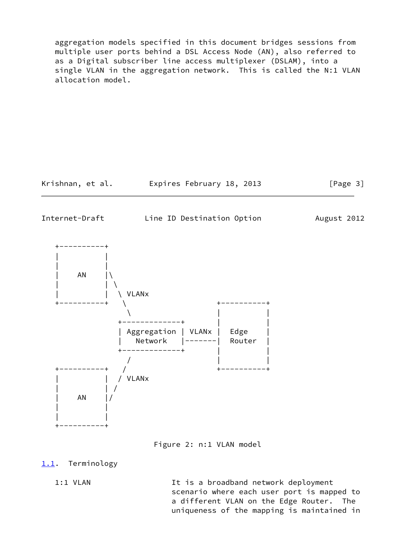aggregation models specified in this document bridges sessions from multiple user ports behind a DSL Access Node (AN), also referred to as a Digital subscriber line access multiplexer (DSLAM), into a single VLAN in the aggregation network. This is called the N:1 VLAN allocation model.

Krishnan, et al. Expires February 18, 2013 [Page 3]

<span id="page-3-1"></span>

Internet-Draft Line ID Destination Option August 2012



Figure 2: n:1 VLAN model

# <span id="page-3-0"></span>[1.1](#page-3-0). Terminology

1:1 VLAN It is a broadband network deployment scenario where each user port is mapped to a different VLAN on the Edge Router. The uniqueness of the mapping is maintained in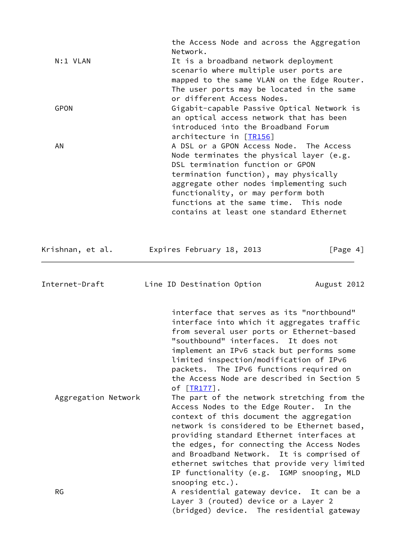|                  | the Access Node and across the Aggregation                                       |             |
|------------------|----------------------------------------------------------------------------------|-------------|
|                  | Network.                                                                         |             |
| N:1 VLAN         | It is a broadband network deployment                                             |             |
|                  | scenario where multiple user ports are                                           |             |
|                  | mapped to the same VLAN on the Edge Router.                                      |             |
|                  | The user ports may be located in the same<br>or different Access Nodes.          |             |
| <b>GPON</b>      | Gigabit-capable Passive Optical Network is                                       |             |
|                  | an optical access network that has been                                          |             |
|                  | introduced into the Broadband Forum<br>architecture in [TR156]                   |             |
| ΑN               | A DSL or a GPON Access Node. The Access                                          |             |
|                  | Node terminates the physical layer (e.g.                                         |             |
|                  | DSL termination function or GPON<br>termination function), may physically        |             |
|                  | aggregate other nodes implementing such                                          |             |
|                  | functionality, or may perform both                                               |             |
|                  | functions at the same time. This node<br>contains at least one standard Ethernet |             |
|                  |                                                                                  |             |
| Krishnan, et al. | Expires February 18, 2013                                                        | [Page 4]    |
|                  |                                                                                  |             |
| Internet-Draft   | Line ID Destination Option                                                       | August 2012 |

<span id="page-4-0"></span> IP functionality (e.g. IGMP snooping, MLD snooping etc.). RG RG RESIDENTIAL gateway device. It can be a Layer 3 (routed) device or a Layer 2 (bridged) device. The residential gateway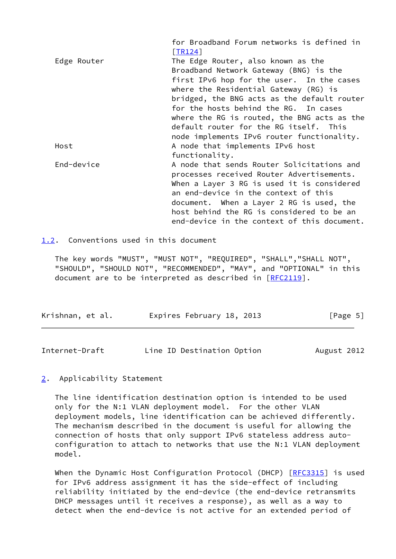|             | for Broadband Forum networks is defined in<br>[TR124] |
|-------------|-------------------------------------------------------|
| Edge Router | The Edge Router, also known as the                    |
|             | Broadband Network Gateway (BNG) is the                |
|             | first IPv6 hop for the user. In the cases             |
|             | where the Residential Gateway (RG) is                 |
|             | bridged, the BNG acts as the default router           |
|             | for the hosts behind the RG. In cases                 |
|             | where the RG is routed, the BNG acts as the           |
|             | default router for the RG itself. This                |
|             | node implements IPv6 router functionality.            |
| Host        | A node that implements IPv6 host                      |
|             | functionality.                                        |
| End-device  | A node that sends Router Solicitations and            |
|             | processes received Router Advertisements.             |
|             | When a Layer 3 RG is used it is considered            |
|             | an end-device in the context of this                  |
|             | document. When a Layer 2 RG is used, the              |
|             | host behind the RG is considered to be an             |
|             | end-device in the context of this document.           |

<span id="page-5-0"></span>[1.2](#page-5-0). Conventions used in this document

 The key words "MUST", "MUST NOT", "REQUIRED", "SHALL","SHALL NOT", "SHOULD", "SHOULD NOT", "RECOMMENDED", "MAY", and "OPTIONAL" in this document are to be interpreted as described in [\[RFC2119](https://datatracker.ietf.org/doc/pdf/rfc2119)].

| Krishnan, et al. | Expires February 18, 2013 | [Page 5] |
|------------------|---------------------------|----------|
|                  |                           |          |

<span id="page-5-2"></span>

| Line ID Destination Option<br>Internet-Draft | August 2012 |
|----------------------------------------------|-------------|
|----------------------------------------------|-------------|

### <span id="page-5-1"></span>[2](#page-5-1). Applicability Statement

 The line identification destination option is intended to be used only for the N:1 VLAN deployment model. For the other VLAN deployment models, line identification can be achieved differently. The mechanism described in the document is useful for allowing the connection of hosts that only support IPv6 stateless address auto configuration to attach to networks that use the N:1 VLAN deployment model.

When the Dynamic Host Configuration Protocol (DHCP) [\[RFC3315](https://datatracker.ietf.org/doc/pdf/rfc3315)] is used for IPv6 address assignment it has the side-effect of including reliability initiated by the end-device (the end-device retransmits DHCP messages until it receives a response), as well as a way to detect when the end-device is not active for an extended period of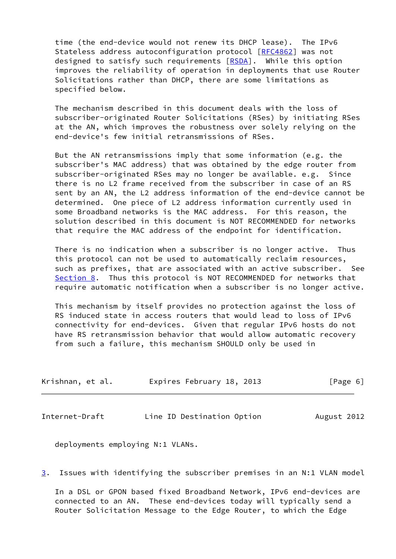time (the end-device would not renew its DHCP lease). The IPv6 Stateless address autoconfiguration protocol [\[RFC4862](https://datatracker.ietf.org/doc/pdf/rfc4862)] was not designed to satisfy such requirements [[RSDA\]](#page-17-2). While this option improves the reliability of operation in deployments that use Router Solicitations rather than DHCP, there are some limitations as specified below.

 The mechanism described in this document deals with the loss of subscriber-originated Router Solicitations (RSes) by initiating RSes at the AN, which improves the robustness over solely relying on the end-device's few initial retransmissions of RSes.

 But the AN retransmissions imply that some information (e.g. the subscriber's MAC address) that was obtained by the edge router from subscriber-originated RSes may no longer be available. e.g. Since there is no L2 frame received from the subscriber in case of an RS sent by an AN, the L2 address information of the end-device cannot be determined. One piece of L2 address information currently used in some Broadband networks is the MAC address. For this reason, the solution described in this document is NOT RECOMMENDED for networks that require the MAC address of the endpoint for identification.

 There is no indication when a subscriber is no longer active. Thus this protocol can not be used to automatically reclaim resources, such as prefixes, that are associated with an active subscriber. See [Section 8](#page-14-0). Thus this protocol is NOT RECOMMENDED for networks that require automatic notification when a subscriber is no longer active.

 This mechanism by itself provides no protection against the loss of RS induced state in access routers that would lead to loss of IPv6 connectivity for end-devices. Given that regular IPv6 hosts do not have RS retransmission behavior that would allow automatic recovery from such a failure, this mechanism SHOULD only be used in

| Krishnan, et al. | Expires February 18, 2013 | [Page 6] |
|------------------|---------------------------|----------|
|                  |                           |          |

<span id="page-6-0"></span>Internet-Draft Line ID Destination Option August 2012

deployments employing N:1 VLANs.

<span id="page-6-1"></span>[3](#page-6-1). Issues with identifying the subscriber premises in an N:1 VLAN model

 In a DSL or GPON based fixed Broadband Network, IPv6 end-devices are connected to an AN. These end-devices today will typically send a Router Solicitation Message to the Edge Router, to which the Edge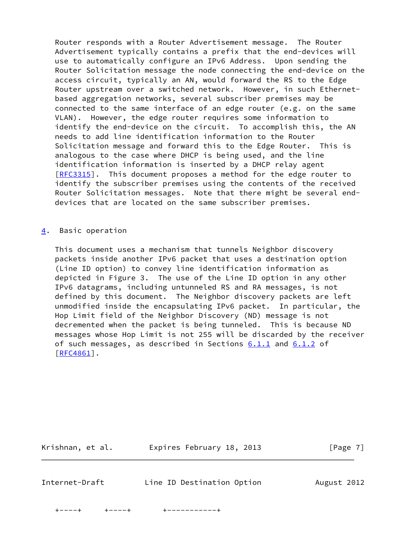Router responds with a Router Advertisement message. The Router Advertisement typically contains a prefix that the end-devices will use to automatically configure an IPv6 Address. Upon sending the Router Solicitation message the node connecting the end-device on the access circuit, typically an AN, would forward the RS to the Edge Router upstream over a switched network. However, in such Ethernet based aggregation networks, several subscriber premises may be connected to the same interface of an edge router (e.g. on the same VLAN). However, the edge router requires some information to identify the end-device on the circuit. To accomplish this, the AN needs to add line identification information to the Router Solicitation message and forward this to the Edge Router. This is analogous to the case where DHCP is being used, and the line identification information is inserted by a DHCP relay agent [\[RFC3315](https://datatracker.ietf.org/doc/pdf/rfc3315)]. This document proposes a method for the edge router to identify the subscriber premises using the contents of the received Router Solicitation messages. Note that there might be several end devices that are located on the same subscriber premises.

#### <span id="page-7-0"></span>[4](#page-7-0). Basic operation

 This document uses a mechanism that tunnels Neighbor discovery packets inside another IPv6 packet that uses a destination option (Line ID option) to convey line identification information as depicted in Figure 3. The use of the Line ID option in any other IPv6 datagrams, including untunneled RS and RA messages, is not defined by this document. The Neighbor discovery packets are left unmodified inside the encapsulating IPv6 packet. In particular, the Hop Limit field of the Neighbor Discovery (ND) message is not decremented when the packet is being tunneled. This is because ND messages whose Hop Limit is not 255 will be discarded by the receiver of such messages, as described in Sections  $6.1.1$  and  $6.1.2$  of [\[RFC4861](https://datatracker.ietf.org/doc/pdf/rfc4861)].

<span id="page-7-1"></span>

| Krishnan, et al. | Expires February 18, 2013  | $\lceil \text{Page } 7 \rceil$ |
|------------------|----------------------------|--------------------------------|
|                  |                            |                                |
| Internet-Draft   | Line ID Destination Option | August 2012                    |

+----+ +----+ +-----------+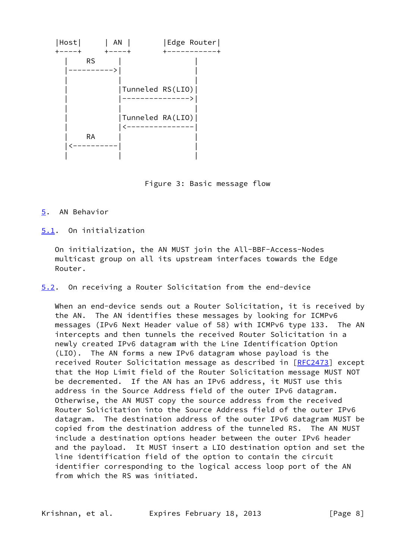

Figure 3: Basic message flow

# <span id="page-8-0"></span>[5](#page-8-0). AN Behavior

<span id="page-8-1"></span>[5.1](#page-8-1). On initialization

 On initialization, the AN MUST join the All-BBF-Access-Nodes multicast group on all its upstream interfaces towards the Edge Router.

<span id="page-8-2"></span>[5.2](#page-8-2). On receiving a Router Solicitation from the end-device

When an end-device sends out a Router Solicitation, it is received by the AN. The AN identifies these messages by looking for ICMPv6 messages (IPv6 Next Header value of 58) with ICMPv6 type 133. The AN intercepts and then tunnels the received Router Solicitation in a newly created IPv6 datagram with the Line Identification Option (LIO). The AN forms a new IPv6 datagram whose payload is the received Router Solicitation message as described in [\[RFC2473](https://datatracker.ietf.org/doc/pdf/rfc2473)] except that the Hop Limit field of the Router Solicitation message MUST NOT be decremented. If the AN has an IPv6 address, it MUST use this address in the Source Address field of the outer IPv6 datagram. Otherwise, the AN MUST copy the source address from the received Router Solicitation into the Source Address field of the outer IPv6 datagram. The destination address of the outer IPv6 datagram MUST be copied from the destination address of the tunneled RS. The AN MUST include a destination options header between the outer IPv6 header and the payload. It MUST insert a LIO destination option and set the line identification field of the option to contain the circuit identifier corresponding to the logical access loop port of the AN from which the RS was initiated.

Krishnan, et al. Expires February 18, 2013 [Page 8]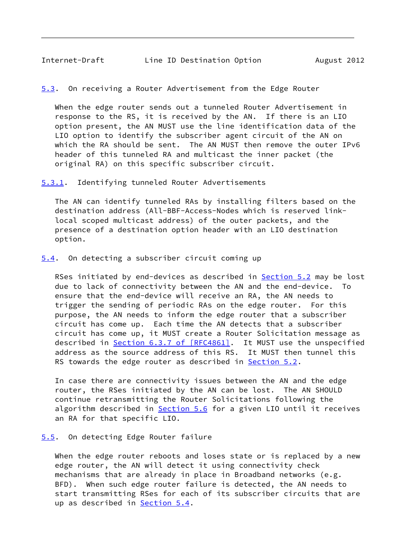<span id="page-9-4"></span><span id="page-9-0"></span>[5.3](#page-9-4). On receiving a Router Advertisement from the Edge Router

 When the edge router sends out a tunneled Router Advertisement in response to the RS, it is received by the AN. If there is an LIO option present, the AN MUST use the line identification data of the LIO option to identify the subscriber agent circuit of the AN on which the RA should be sent. The AN MUST then remove the outer IPv6 header of this tunneled RA and multicast the inner packet (the original RA) on this specific subscriber circuit.

<span id="page-9-1"></span>[5.3.1](#page-9-1). Identifying tunneled Router Advertisements

 The AN can identify tunneled RAs by installing filters based on the destination address (All-BBF-Access-Nodes which is reserved link local scoped multicast address) of the outer packets, and the presence of a destination option header with an LIO destination option.

<span id="page-9-2"></span>[5.4](#page-9-2). On detecting a subscriber circuit coming up

 RSes initiated by end-devices as described in [Section 5.2](#page-8-2) may be lost due to lack of connectivity between the AN and the end-device. To ensure that the end-device will receive an RA, the AN needs to trigger the sending of periodic RAs on the edge router. For this purpose, the AN needs to inform the edge router that a subscriber circuit has come up. Each time the AN detects that a subscriber circuit has come up, it MUST create a Router Solicitation message as described in Section [6.3.7 of \[RFC4861\].](https://datatracker.ietf.org/doc/pdf/rfc4861#section-6.3.7) It MUST use the unspecified address as the source address of this RS. It MUST then tunnel this RS towards the edge router as described in [Section 5.2](#page-8-2).

 In case there are connectivity issues between the AN and the edge router, the RSes initiated by the AN can be lost. The AN SHOULD continue retransmitting the Router Solicitations following the algorithm described in **[Section 5.6](#page-10-0)** for a given LIO until it receives an RA for that specific LIO.

### <span id="page-9-3"></span>[5.5](#page-9-3). On detecting Edge Router failure

When the edge router reboots and loses state or is replaced by a new edge router, the AN will detect it using connectivity check mechanisms that are already in place in Broadband networks (e.g. BFD). When such edge router failure is detected, the AN needs to start transmitting RSes for each of its subscriber circuits that are up as described in **[Section 5.4](#page-9-2)**.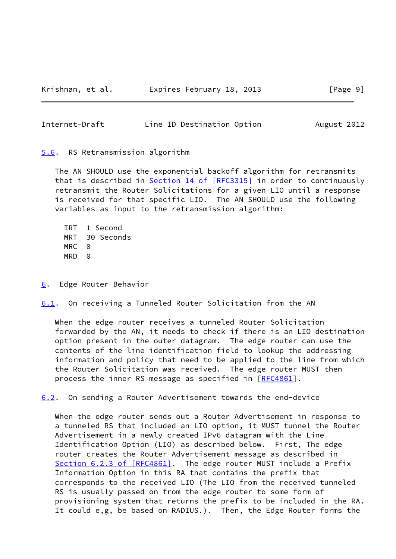<span id="page-10-1"></span>

| Line ID Destination Option<br>Internet-Draft<br>August 2012 |
|-------------------------------------------------------------|
|-------------------------------------------------------------|

<span id="page-10-0"></span>[5.6](#page-10-0). RS Retransmission algorithm

 The AN SHOULD use the exponential backoff algorithm for retransmits that is described in Section [14 of \[RFC3315\]](https://datatracker.ietf.org/doc/pdf/rfc3315#section-14) in order to continuously retransmit the Router Solicitations for a given LIO until a response is received for that specific LIO. The AN SHOULD use the following variables as input to the retransmission algorithm:

 IRT 1 Second MRT 30 Seconds MRC 0 MRD 0

<span id="page-10-2"></span>[6](#page-10-2). Edge Router Behavior

<span id="page-10-3"></span>[6.1](#page-10-3). On receiving a Tunneled Router Solicitation from the AN

 When the edge router receives a tunneled Router Solicitation forwarded by the AN, it needs to check if there is an LIO destination option present in the outer datagram. The edge router can use the contents of the line identification field to lookup the addressing information and policy that need to be applied to the line from which the Router Solicitation was received. The edge router MUST then process the inner RS message as specified in [\[RFC4861](https://datatracker.ietf.org/doc/pdf/rfc4861)].

<span id="page-10-4"></span>[6.2](#page-10-4). On sending a Router Advertisement towards the end-device

 When the edge router sends out a Router Advertisement in response to a tunneled RS that included an LIO option, it MUST tunnel the Router Advertisement in a newly created IPv6 datagram with the Line Identification Option (LIO) as described below. First, The edge router creates the Router Advertisement message as described in Section [6.2.3 of \[RFC4861\]](https://datatracker.ietf.org/doc/pdf/rfc4861#section-6.2.3). The edge router MUST include a Prefix Information Option in this RA that contains the prefix that corresponds to the received LIO (The LIO from the received tunneled RS is usually passed on from the edge router to some form of provisioning system that returns the prefix to be included in the RA. It could e,g, be based on RADIUS.). Then, the Edge Router forms the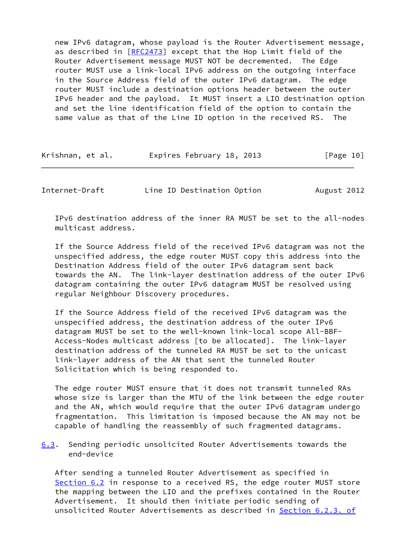new IPv6 datagram, whose payload is the Router Advertisement message, as described in [\[RFC2473](https://datatracker.ietf.org/doc/pdf/rfc2473)] except that the Hop Limit field of the Router Advertisement message MUST NOT be decremented. The Edge router MUST use a link-local IPv6 address on the outgoing interface in the Source Address field of the outer IPv6 datagram. The edge router MUST include a destination options header between the outer IPv6 header and the payload. It MUST insert a LIO destination option and set the line identification field of the option to contain the same value as that of the Line ID option in the received RS. The

| Krishnan, et al. | Expires February 18, 2013 | [Page 10] |
|------------------|---------------------------|-----------|
|------------------|---------------------------|-----------|

<span id="page-11-0"></span>Internet-Draft Line ID Destination Option August 2012

 IPv6 destination address of the inner RA MUST be set to the all-nodes multicast address.

 If the Source Address field of the received IPv6 datagram was not the unspecified address, the edge router MUST copy this address into the Destination Address field of the outer IPv6 datagram sent back towards the AN. The link-layer destination address of the outer IPv6 datagram containing the outer IPv6 datagram MUST be resolved using regular Neighbour Discovery procedures.

 If the Source Address field of the received IPv6 datagram was the unspecified address, the destination address of the outer IPv6 datagram MUST be set to the well-known link-local scope All-BBF- Access-Nodes multicast address [to be allocated]. The link-layer destination address of the tunneled RA MUST be set to the unicast link-layer address of the AN that sent the tunneled Router Solicitation which is being responded to.

 The edge router MUST ensure that it does not transmit tunneled RAs whose size is larger than the MTU of the link between the edge router and the AN, which would require that the outer IPv6 datagram undergo fragmentation. This limitation is imposed because the AN may not be capable of handling the reassembly of such fragmented datagrams.

<span id="page-11-1"></span>[6.3](#page-11-1). Sending periodic unsolicited Router Advertisements towards the end-device

 After sending a tunneled Router Advertisement as specified in [Section 6.2](#page-10-4) in response to a received RS, the edge router MUST store the mapping between the LIO and the prefixes contained in the Router Advertisement. It should then initiate periodic sending of unsolicited Router Advertisements as described in Section [6.2.3. of](https://datatracker.ietf.org/doc/pdf/rfc4861#section-6.2.3)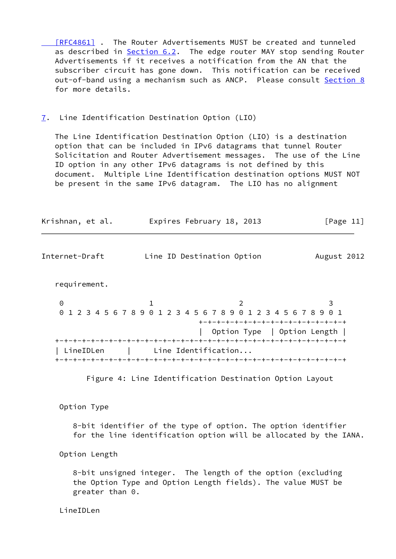[\[RFC4861\]](https://datatracker.ietf.org/doc/pdf/rfc4861#section-6.2.3) . The Router Advertisements MUST be created and tunneled as described in **Section 6.2</u>.** The edge router MAY stop sending Router Advertisements if it receives a notification from the AN that the subscriber circuit has gone down. This notification can be received out-of-band using a mechanism such as ANCP. Please consult [Section 8](#page-14-0) for more details.

<span id="page-12-0"></span>[7](#page-12-0). Line Identification Destination Option (LIO)

 The Line Identification Destination Option (LIO) is a destination option that can be included in IPv6 datagrams that tunnel Router Solicitation and Router Advertisement messages. The use of the Line ID option in any other IPv6 datagrams is not defined by this document. Multiple Line Identification destination options MUST NOT be present in the same IPv6 datagram. The LIO has no alignment

<span id="page-12-1"></span>

| Krishnan, et al. |                                 | Expires February 18, 2013                                            | [Page 11]   |  |  |  |
|------------------|---------------------------------|----------------------------------------------------------------------|-------------|--|--|--|
| Internet-Draft   | Line ID Destination Option      |                                                                      | August 2012 |  |  |  |
| requirement.     |                                 |                                                                      |             |  |  |  |
| 0                |                                 | 2<br>0 1 2 3 4 5 6 7 8 9 0 1 2 3 4 5 6 7 8 9 0 1 2 3 4 5 6 7 8 9 0 1 | 3           |  |  |  |
|                  |                                 | +-+-+-+-+-+-+-+-+-+-+-+-+-+-+-+-+-+                                  |             |  |  |  |
|                  |                                 | Option Type   Option Length                                          |             |  |  |  |
|                  |                                 |                                                                      |             |  |  |  |
|                  | LineIDLen   Line Identification |                                                                      |             |  |  |  |
|                  |                                 |                                                                      |             |  |  |  |
|                  |                                 | Figure 4: Line Identification Destination Ontion Lavout              |             |  |  |  |

Figure 4: Line Identification Destination Option Layout

Option Type

 8-bit identifier of the type of option. The option identifier for the line identification option will be allocated by the IANA.

Option Length

 8-bit unsigned integer. The length of the option (excluding the Option Type and Option Length fields). The value MUST be greater than 0.

LineIDLen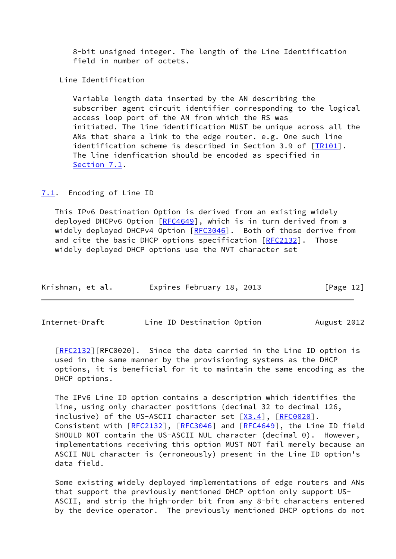8-bit unsigned integer. The length of the Line Identification field in number of octets.

Line Identification

 Variable length data inserted by the AN describing the subscriber agent circuit identifier corresponding to the logical access loop port of the AN from which the RS was initiated. The line identification MUST be unique across all the ANs that share a link to the edge router. e.g. One such line identification scheme is described in Section 3.9 of  $[TR101]$ . The line idenfication should be encoded as specified in [Section 7.1.](#page-13-0)

### <span id="page-13-0"></span>[7.1](#page-13-0). Encoding of Line ID

 This IPv6 Destination Option is derived from an existing widely deployed DHCPv6 Option [\[RFC4649](https://datatracker.ietf.org/doc/pdf/rfc4649)], which is in turn derived from a widely deployed DHCPv4 Option [[RFC3046](https://datatracker.ietf.org/doc/pdf/rfc3046)]. Both of those derive from and cite the basic DHCP options specification  $[REC2132]$ . Those widely deployed DHCP options use the NVT character set

| Krishnan, et al. | Expires February 18, 2013 | [Page 12] |
|------------------|---------------------------|-----------|
|------------------|---------------------------|-----------|

<span id="page-13-1"></span>Internet-Draft Line ID Destination Option August 2012

 [\[RFC2132](https://datatracker.ietf.org/doc/pdf/rfc2132)][RFC0020]. Since the data carried in the Line ID option is used in the same manner by the provisioning systems as the DHCP options, it is beneficial for it to maintain the same encoding as the DHCP options.

 The IPv6 Line ID option contains a description which identifies the line, using only character positions (decimal 32 to decimal 126, inclusive) of the US-ASCII character set  $[X3.4]$  $[X3.4]$ ,  $[RECOO2O]$ . Consistent with [\[RFC2132](https://datatracker.ietf.org/doc/pdf/rfc2132)], [[RFC3046\]](https://datatracker.ietf.org/doc/pdf/rfc3046) and [\[RFC4649](https://datatracker.ietf.org/doc/pdf/rfc4649)], the Line ID field SHOULD NOT contain the US-ASCII NUL character (decimal 0). However, implementations receiving this option MUST NOT fail merely because an ASCII NUL character is (erroneously) present in the Line ID option's data field.

 Some existing widely deployed implementations of edge routers and ANs that support the previously mentioned DHCP option only support US- ASCII, and strip the high-order bit from any 8-bit characters entered by the device operator. The previously mentioned DHCP options do not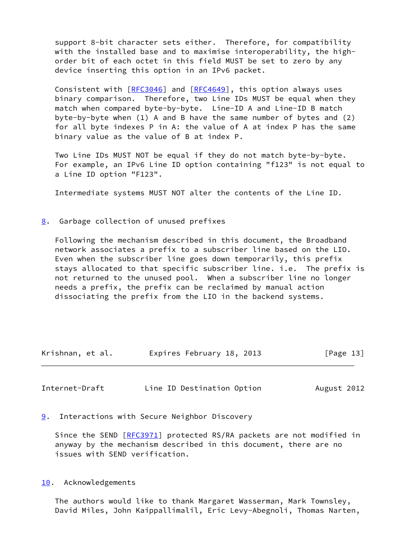support 8-bit character sets either. Therefore, for compatibility with the installed base and to maximise interoperability, the high order bit of each octet in this field MUST be set to zero by any device inserting this option in an IPv6 packet.

 Consistent with [\[RFC3046](https://datatracker.ietf.org/doc/pdf/rfc3046)] and [[RFC4649](https://datatracker.ietf.org/doc/pdf/rfc4649)], this option always uses binary comparison. Therefore, two Line IDs MUST be equal when they match when compared byte-by-byte. Line-ID A and Line-ID B match byte-by-byte when (1) A and B have the same number of bytes and (2) for all byte indexes P in A: the value of A at index P has the same binary value as the value of B at index P.

 Two Line IDs MUST NOT be equal if they do not match byte-by-byte. For example, an IPv6 Line ID option containing "f123" is not equal to a Line ID option "F123".

Intermediate systems MUST NOT alter the contents of the Line ID.

<span id="page-14-0"></span>[8](#page-14-0). Garbage collection of unused prefixes

 Following the mechanism described in this document, the Broadband network associates a prefix to a subscriber line based on the LIO. Even when the subscriber line goes down temporarily, this prefix stays allocated to that specific subscriber line. i.e. The prefix is not returned to the unused pool. When a subscriber line no longer needs a prefix, the prefix can be reclaimed by manual action dissociating the prefix from the LIO in the backend systems.

| Krishnan, et al. | Expires February 18, 2013 | [Page 13] |
|------------------|---------------------------|-----------|
|------------------|---------------------------|-----------|

<span id="page-14-2"></span>Internet-Draft Line ID Destination Option August 2012

<span id="page-14-1"></span>[9](#page-14-1). Interactions with Secure Neighbor Discovery

Since the SEND [\[RFC3971](https://datatracker.ietf.org/doc/pdf/rfc3971)] protected RS/RA packets are not modified in anyway by the mechanism described in this document, there are no issues with SEND verification.

<span id="page-14-3"></span>[10.](#page-14-3) Acknowledgements

 The authors would like to thank Margaret Wasserman, Mark Townsley, David Miles, John Kaippallimalil, Eric Levy-Abegnoli, Thomas Narten,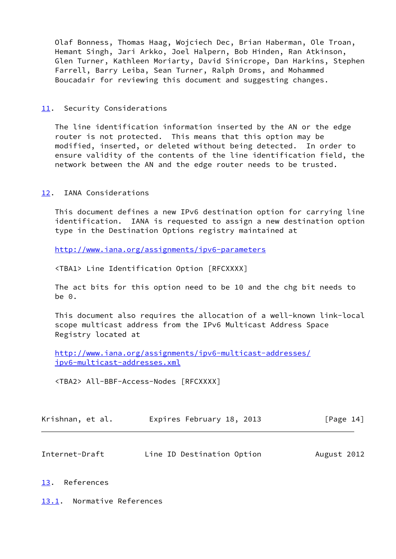Olaf Bonness, Thomas Haag, Wojciech Dec, Brian Haberman, Ole Troan, Hemant Singh, Jari Arkko, Joel Halpern, Bob Hinden, Ran Atkinson, Glen Turner, Kathleen Moriarty, David Sinicrope, Dan Harkins, Stephen Farrell, Barry Leiba, Sean Turner, Ralph Droms, and Mohammed Boucadair for reviewing this document and suggesting changes.

### <span id="page-15-0"></span>[11.](#page-15-0) Security Considerations

 The line identification information inserted by the AN or the edge router is not protected. This means that this option may be modified, inserted, or deleted without being detected. In order to ensure validity of the contents of the line identification field, the network between the AN and the edge router needs to be trusted.

### <span id="page-15-1"></span>[12.](#page-15-1) IANA Considerations

 This document defines a new IPv6 destination option for carrying line identification. IANA is requested to assign a new destination option type in the Destination Options registry maintained at

<http://www.iana.org/assignments/ipv6-parameters>

<TBA1> Line Identification Option [RFCXXXX]

 The act bits for this option need to be 10 and the chg bit needs to be 0.

 This document also requires the allocation of a well-known link-local scope multicast address from the IPv6 Multicast Address Space Registry located at

 [http://www.iana.org/assignments/ipv6-multicast-addresses/](http://www.iana.org/assignments/ipv6-multicast-addresses/ipv6-multicast-addresses.xml) [ipv6-multicast-addresses.xml](http://www.iana.org/assignments/ipv6-multicast-addresses/ipv6-multicast-addresses.xml)

<TBA2> All-BBF-Access-Nodes [RFCXXXX]

| Krishnan, et al. |  | Expires February 18, 2013 |  | [Page 14] |  |
|------------------|--|---------------------------|--|-----------|--|
|                  |  |                           |  |           |  |

<span id="page-15-3"></span>

| Internet-Draft | Line ID Destination Option | August 2012 |
|----------------|----------------------------|-------------|
|----------------|----------------------------|-------------|

### <span id="page-15-2"></span>[13.](#page-15-2) References

<span id="page-15-4"></span>[13.1](#page-15-4). Normative References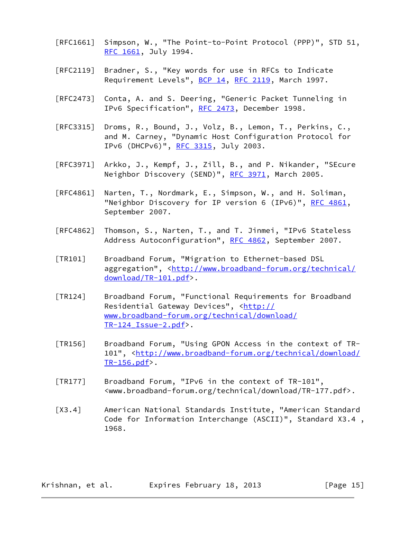- [RFC1661] Simpson, W., "The Point-to-Point Protocol (PPP)", STD 51, [RFC 1661,](https://datatracker.ietf.org/doc/pdf/rfc1661) July 1994.
- [RFC2119] Bradner, S., "Key words for use in RFCs to Indicate Requirement Levels", [BCP 14](https://datatracker.ietf.org/doc/pdf/bcp14), [RFC 2119](https://datatracker.ietf.org/doc/pdf/rfc2119), March 1997.
- [RFC2473] Conta, A. and S. Deering, "Generic Packet Tunneling in IPv6 Specification", [RFC 2473](https://datatracker.ietf.org/doc/pdf/rfc2473), December 1998.
- [RFC3315] Droms, R., Bound, J., Volz, B., Lemon, T., Perkins, C., and M. Carney, "Dynamic Host Configuration Protocol for IPv6 (DHCPv6)", [RFC 3315,](https://datatracker.ietf.org/doc/pdf/rfc3315) July 2003.
- [RFC3971] Arkko, J., Kempf, J., Zill, B., and P. Nikander, "SEcure Neighbor Discovery (SEND)", [RFC 3971,](https://datatracker.ietf.org/doc/pdf/rfc3971) March 2005.
- [RFC4861] Narten, T., Nordmark, E., Simpson, W., and H. Soliman, "Neighbor Discovery for IP version 6 (IPv6)", [RFC 4861](https://datatracker.ietf.org/doc/pdf/rfc4861), September 2007.
- [RFC4862] Thomson, S., Narten, T., and T. Jinmei, "IPv6 Stateless Address Autoconfiguration", [RFC 4862,](https://datatracker.ietf.org/doc/pdf/rfc4862) September 2007.
- <span id="page-16-0"></span> [TR101] Broadband Forum, "Migration to Ethernet-based DSL aggregation", [<http://www.broadband-forum.org/technical/](http://www.broadband-forum.org/technical/download/TR-101.pdf) [download/TR-101.pdf](http://www.broadband-forum.org/technical/download/TR-101.pdf)>.
- <span id="page-16-3"></span> [TR124] Broadband Forum, "Functional Requirements for Broadband Residential Gateway Devices", [<http://](http://www.broadband-forum.org/technical/download/TR-124_Issue-2.pdf) [www.broadband-forum.org/technical/download/](http://www.broadband-forum.org/technical/download/TR-124_Issue-2.pdf) [TR-124\\_Issue-2.pdf>](http://www.broadband-forum.org/technical/download/TR-124_Issue-2.pdf).
- <span id="page-16-1"></span> [TR156] Broadband Forum, "Using GPON Access in the context of TR- 101", [<http://www.broadband-forum.org/technical/download/](http://www.broadband-forum.org/technical/download/TR-156.pdf) [TR-156.pdf>](http://www.broadband-forum.org/technical/download/TR-156.pdf).
- <span id="page-16-2"></span> [TR177] Broadband Forum, "IPv6 in the context of TR-101", <www.broadband-forum.org/technical/download/TR-177.pdf>.
- <span id="page-16-4"></span> [X3.4] American National Standards Institute, "American Standard Code for Information Interchange (ASCII)", Standard X3.4 , 1968.

Krishnan, et al. Expires February 18, 2013 [Page 15]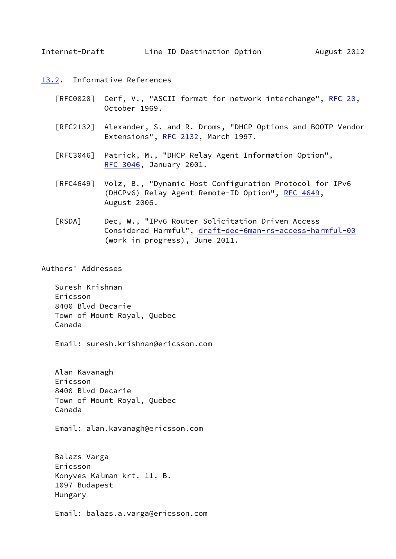- <span id="page-17-1"></span><span id="page-17-0"></span>[13.2](#page-17-0). Informative References
	- [RFC0020] Cerf, V., "ASCII format for network interchange", [RFC 20](https://datatracker.ietf.org/doc/pdf/rfc20), October 1969.
	- [RFC2132] Alexander, S. and R. Droms, "DHCP Options and BOOTP Vendor Extensions", [RFC 2132](https://datatracker.ietf.org/doc/pdf/rfc2132), March 1997.
	- [RFC3046] Patrick, M., "DHCP Relay Agent Information Option", [RFC 3046,](https://datatracker.ietf.org/doc/pdf/rfc3046) January 2001.
	- [RFC4649] Volz, B., "Dynamic Host Configuration Protocol for IPv6 (DHCPv6) Relay Agent Remote-ID Option", [RFC 4649,](https://datatracker.ietf.org/doc/pdf/rfc4649) August 2006.
	- [RSDA] Dec, W., "IPv6 Router Solicitation Driven Access Considered Harmful", [draft-dec-6man-rs-access-harmful-00](https://datatracker.ietf.org/doc/pdf/draft-dec-6man-rs-access-harmful-00) (work in progress), June 2011.

<span id="page-17-2"></span>Authors' Addresses

 Suresh Krishnan Ericsson 8400 Blvd Decarie Town of Mount Royal, Quebec Canada

Email: suresh.krishnan@ericsson.com

 Alan Kavanagh Ericsson 8400 Blvd Decarie Town of Mount Royal, Quebec Canada

Email: alan.kavanagh@ericsson.com

 Balazs Varga Ericsson Konyves Kalman krt. 11. B. 1097 Budapest Hungary

Email: balazs.a.varga@ericsson.com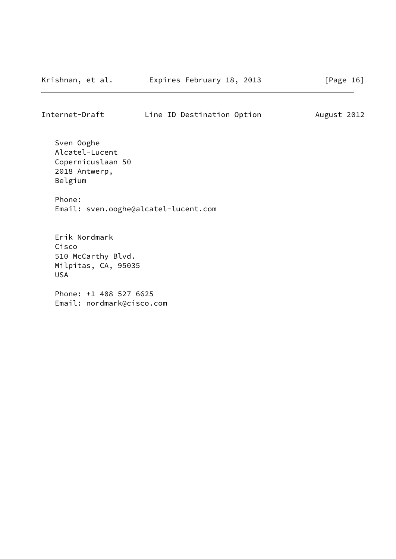Internet-Draft Line ID Destination Option August 2012

 Sven Ooghe Alcatel-Lucent Copernicuslaan 50 2018 Antwerp, Belgium Phone:

Email: sven.ooghe@alcatel-lucent.com

 Erik Nordmark Cisco 510 McCarthy Blvd. Milpitas, CA, 95035 USA

 Phone: +1 408 527 6625 Email: nordmark@cisco.com